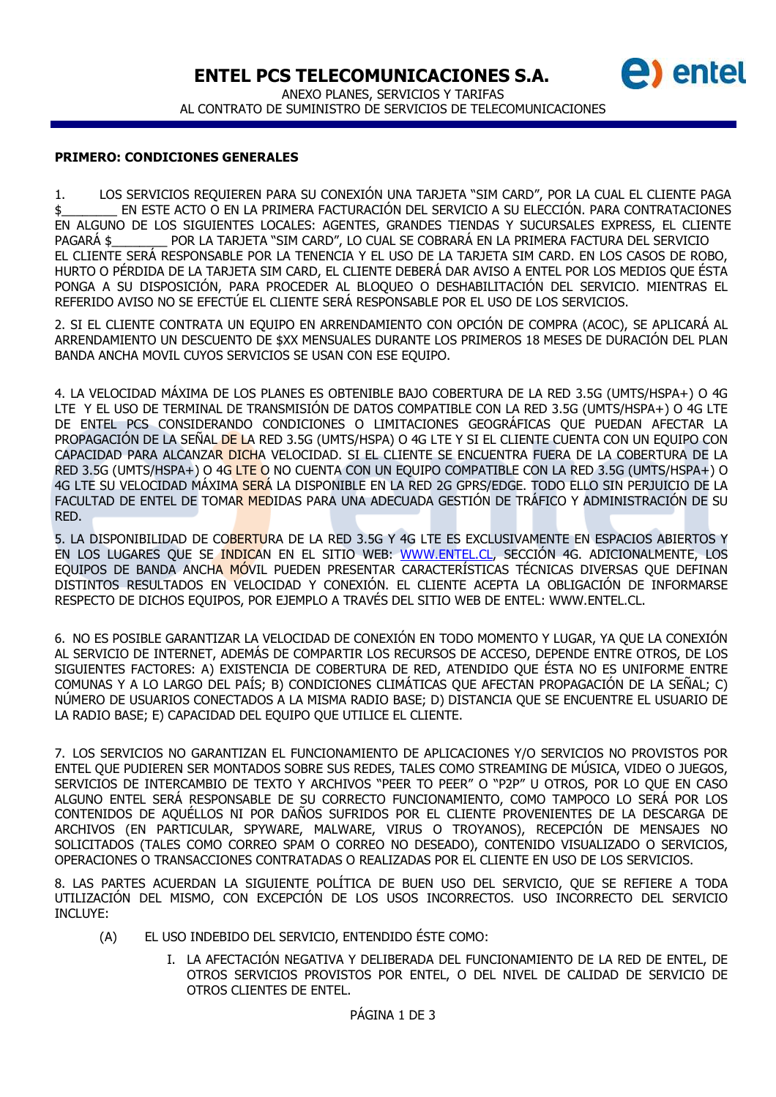

ANEXO PLANES, SERVICIOS Y TARIFAS AL CONTRATO DE SUMINISTRO DE SERVICIOS DE TELECOMUNICACIONES

#### **PRIMERO: CONDICIONES GENERALES**

1. LOS SERVICIOS REQUIEREN PARA SU CONEXIÓN UNA TARJETA "SIM CARD", POR LA CUAL EL CLIENTE PAGA EN ESTE ACTO O EN LA PRIMERA FACTURACIÓN DEL SERVICIO A SU ELECCIÓN. PARA CONTRATACIONES EN ALGUNO DE LOS SIGUIENTES LOCALES: AGENTES, GRANDES TIENDAS Y SUCURSALES EXPRESS, EL CLIENTE PAGARÁ \$\_\_\_\_\_\_\_\_ POR LA TARJETA "SIM CARD", LO CUAL SE COBRARÁ EN LA PRIMERA FACTURA DEL SERVICIO EL CLIENTE SERÁ RESPONSABLE POR LA TENENCIA Y EL USO DE LA TARJETA SIM CARD. EN LOS CASOS DE ROBO, HURTO O PÉRDIDA DE LA TARJETA SIM CARD, EL CLIENTE DEBERÁ DAR AVISO A ENTEL POR LOS MEDIOS QUE ÉSTA PONGA A SU DISPOSICIÓN, PARA PROCEDER AL BLOQUEO O DESHABILITACIÓN DEL SERVICIO. MIENTRAS EL REFERIDO AVISO NO SE EFECTÚE EL CLIENTE SERÁ RESPONSABLE POR EL USO DE LOS SERVICIOS.

2. SI EL CLIENTE CONTRATA UN EQUIPO EN ARRENDAMIENTO CON OPCIÓN DE COMPRA (ACOC), SE APLICARÁ AL ARRENDAMIENTO UN DESCUENTO DE \$XX MENSUALES DURANTE LOS PRIMEROS 18 MESES DE DURACIÓN DEL PLAN BANDA ANCHA MOVIL CUYOS SERVICIOS SE USAN CON ESE EQUIPO.

4. LA VELOCIDAD MÁXIMA DE LOS PLANES ES OBTENIBLE BAJO COBERTURA DE LA RED 3.5G (UMTS/HSPA+) O 4G LTE Y EL USO DE TERMINAL DE TRANSMISIÓN DE DATOS COMPATIBLE CON LA RED 3.5G (UMTS/HSPA+) O 4G LTE DE ENTEL PCS CONSIDERANDO CONDICIONES O LIMITACIONES GEOGRÁFICAS QUE PUEDAN AFECTAR LA PROPAGACIÓN DE LA SEÑAL DE LA RED 3.5G (UMTS/HSPA) O 4G LTE Y SI EL CLIENTE CUENTA CON UN EQUIPO CON CAPACIDAD PARA ALCANZAR DICHA VELOCIDAD. SI EL CLIENTE SE ENCUENTRA FUERA DE LA COBERTURA DE LA RED 3.5G (UMTS/HSPA+) O 4G LTE O NO CUENTA CON UN EQUIPO COMPATIBLE CON LA RED 3.5G (UMTS/HSPA+) O 4G LTE SU VELOCIDAD MÁXIMA SERÁ LA DISPONIBLE EN LA RED 2G GPRS/EDGE. TODO ELLO SIN PERJUICIO DE LA FACULTAD DE ENTEL DE TOMAR MEDIDAS PARA UNA ADECUADA GESTIÓN DE TRÁFICO Y ADMINISTRACIÓN DE SU RED.

5. LA DISPONIBILIDAD DE COBERTURA DE LA RED 3.5G Y 4G LTE ES EXCLUSIVAMENTE EN ESPACIOS ABIERTOS Y EN LOS LUGARES QUE SE INDICAN EN EL SITIO WEB: WWW.ENTEL.CL, SECCIÓN 4G. ADICIONALMENTE, LOS EQUIPOS DE BANDA ANCHA MÓVIL PUEDEN PRESENTAR CARACTERÍSTICAS TÉCNICAS DIVERSAS QUE DEFINAN DISTINTOS RESULTADOS EN VELOCIDAD Y CONEXIÓN. EL CLIENTE ACEPTA LA OBLIGACIÓN DE INFORMARSE RESPECTO DE DICHOS EQUIPOS, POR EJEMPLO A TRAVÉS DEL SITIO WEB DE ENTEL: WWW.ENTEL.CL.

6. NO ES POSIBLE GARANTIZAR LA VELOCIDAD DE CONEXIÓN EN TODO MOMENTO Y LUGAR, YA QUE LA CONEXIÓN AL SERVICIO DE INTERNET, ADEMÁS DE COMPARTIR LOS RECURSOS DE ACCESO, DEPENDE ENTRE OTROS, DE LOS SIGUIENTES FACTORES: A) EXISTENCIA DE COBERTURA DE RED, ATENDIDO QUE ÉSTA NO ES UNIFORME ENTRE COMUNAS Y A LO LARGO DEL PAÍS; B) CONDICIONES CLIMÁTICAS QUE AFECTAN PROPAGACIÓN DE LA SEÑAL; C) NÚMERO DE USUARIOS CONECTADOS A LA MISMA RADIO BASE; D) DISTANCIA QUE SE ENCUENTRE EL USUARIO DE LA RADIO BASE; E) CAPACIDAD DEL EQUIPO QUE UTILICE EL CLIENTE.

7. LOS SERVICIOS NO GARANTIZAN EL FUNCIONAMIENTO DE APLICACIONES Y/O SERVICIOS NO PROVISTOS POR ENTEL QUE PUDIEREN SER MONTADOS SOBRE SUS REDES, TALES COMO STREAMING DE MÚSICA, VIDEO O JUEGOS, SERVICIOS DE INTERCAMBIO DE TEXTO Y ARCHIVOS "PEER TO PEER" O "P2P" U OTROS, POR LO QUE EN CASO ALGUNO ENTEL SERÁ RESPONSABLE DE SU CORRECTO FUNCIONAMIENTO, COMO TAMPOCO LO SERÁ POR LOS CONTENIDOS DE AQUÉLLOS NI POR DAÑOS SUFRIDOS POR EL CLIENTE PROVENIENTES DE LA DESCARGA DE ARCHIVOS (EN PARTICULAR, SPYWARE, MALWARE, VIRUS O TROYANOS), RECEPCIÓN DE MENSAJES NO SOLICITADOS (TALES COMO CORREO SPAM O CORREO NO DESEADO), CONTENIDO VISUALIZADO O SERVICIOS, OPERACIONES O TRANSACCIONES CONTRATADAS O REALIZADAS POR EL CLIENTE EN USO DE LOS SERVICIOS.

8. LAS PARTES ACUERDAN LA SIGUIENTE POLÍTICA DE BUEN USO DEL SERVICIO, QUE SE REFIERE A TODA UTILIZACIÓN DEL MISMO, CON EXCEPCIÓN DE LOS USOS INCORRECTOS. USO INCORRECTO DEL SERVICIO INCLUYE:

- (A) EL USO INDEBIDO DEL SERVICIO, ENTENDIDO ÉSTE COMO:
	- I. LA AFECTACIÓN NEGATIVA Y DELIBERADA DEL FUNCIONAMIENTO DE LA RED DE ENTEL, DE OTROS SERVICIOS PROVISTOS POR ENTEL, O DEL NIVEL DE CALIDAD DE SERVICIO DE OTROS CLIENTES DE ENTEL.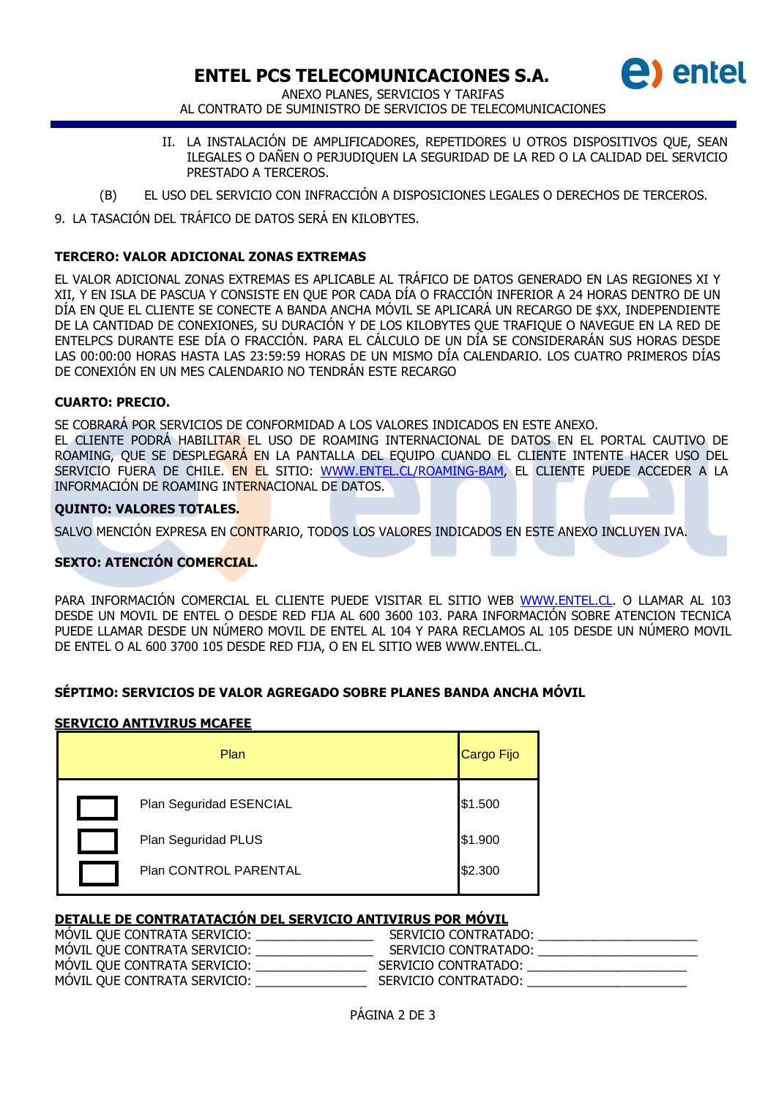## **ENTEL PCS TELECOMUNICACIONES S.A.**



ANEXO PLANES, SERVICIOS Y TARIFAS AL CONTRATO DE SUMINISTRO DE SERVICIOS DE TELECOMUNICACIONES

- II. LA INSTALACIÓN DE AMPLIFICADORES, REPETIDORES U OTROS DISPOSITIVOS QUE, SEAN ILEGALES O DAÑEN O PERJUDIQUEN LA SEGURIDAD DE LA RED O LA CALIDAD DEL SERVICIO PRESTADO A TERCEROS.
- (B) EL USO DEL SERVICIO CON INFRACCIÓN A DISPOSICIONES LEGALES O DERECHOS DE TERCEROS.

9. LA TASACIÓN DEL TRÁFICO DE DATOS SERÁ EN KILOBYTES.

## **TERCERO: VALOR ADICIONAL ZONAS EXTREMAS**

EL VALOR ADICIONAL ZONAS EXTREMAS ES APLICABLE AL TRÁFICO DE DATOS GENERADO EN LAS REGIONES XI Y XII, Y EN ISLA DE PASCUA Y CONSISTE EN QUE POR CADA DÍA O FRACCIÓN INFERIOR A 24 HORAS DENTRO DE UN DÍA EN QUE EL CLIENTE SE CONECTE A BANDA ANCHA MÓVIL SE APLICARÁ UN RECARGO DE \$XX, INDEPENDIENTE DE LA CANTIDAD DE CONEXIONES, SU DURACIÓN Y DE LOS KILOBYTES QUE TRAFIQUE O NAVEGUE EN LA RED DE ENTELPCS DURANTE ESE DÍA O FRACCIÓN. PARA EL CÁLCULO DE UN DÍA SE CONSIDERARÁN SUS HORAS DESDE LAS 00:00:00 HORAS HASTA LAS 23:59:59 HORAS DE UN MISMO DÍA CALENDARIO. LOS CUATRO PRIMEROS DÍAS DE CONEXIÓN EN UN MES CALENDARIO NO TENDRÁN ESTE RECARGO

#### **CUARTO: PRECIO.**

SE COBRARÁ POR SERVICIOS DE CONFORMIDAD A LOS VALORES INDICADOS EN ESTE ANEXO.

EL CLIENTE PODRÁ HABILITAR EL USO DE ROAMING INTERNACIONAL DE DATOS EN EL PORTAL CAUTIVO DE ROAMING, QUE SE DESPLEGARÁ EN LA PANTALLA DEL EQUIPO CUANDO EL CLIENTE INTENTE HACER USO DEL SERVICIO FUERA DE CHILE. EN EL SITIO: WWW.ENTEL.CL/ROAMING-BAM, EL CLIENTE PUEDE ACCEDER A LA INFORMACIÓN DE ROAMING INTERNACIONAL DE DATOS.

#### **QUINTO: VALORES TOTALES.**

SALVO MENCIÓN EXPRESA EN CONTRARIO, TODOS LOS VALORES INDICADOS EN ESTE ANEXO INCLUYEN IVA.

## **SEXTO: ATENCIÓN COMERCIAL.**

PARA INFORMACIÓN COMERCIAL EL CLIENTE PUEDE VISITAR EL SITIO WEB WWW.ENTEL.CL. O LLAMAR AL 103 DESDE UN MOVIL DE ENTEL O DESDE RED FIJA AL 600 3600 103. PARA INFORMACIÓN SOBRE ATENCION TECNICA PUEDE LLAMAR DESDE UN NÚMERO MOVIL DE ENTEL AL 104 Y PARA RECLAMOS AL 105 DESDE UN NÚMERO MOVIL DE ENTEL O AL 600 3700 105 DESDE RED FIJA, O EN EL SITIO WEB WWW.ENTEL.CL.

## **SÉPTIMO: SERVICIOS DE VALOR AGREGADO SOBRE PLANES BANDA ANCHA MÓVIL**

#### **SERVICIO ANTIVIRUS MCAFEE**

| Plan                    | Cargo Fijo |
|-------------------------|------------|
| Plan Seguridad ESENCIAL | \$1.500    |
| Plan Seguridad PLUS     | \$1.900    |
| Plan CONTROL PARENTAL   | \$2.300    |

## **DETALLE DE CONTRATATACIÓN DEL SERVICIO ANTIVIRUS POR MÓVIL**

| MOVIL QUE CONTRATA SERVICIO: | SERVICIO CONTRATADO: |
|------------------------------|----------------------|
| MOVIL QUE CONTRATA SERVICIO: | SERVICIO CONTRATADO: |
| MOVIL QUE CONTRATA SERVICIO: | SERVICIO CONTRATADO: |
| MOVIL QUE CONTRATA SERVICIO: | SERVICIO CONTRATADO: |